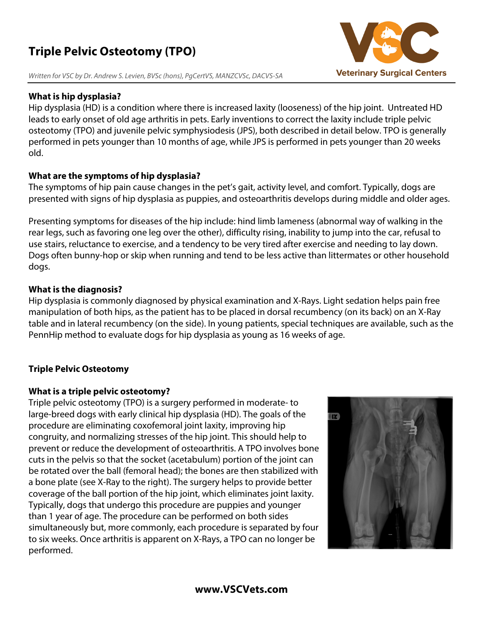# **Triple Pelvic Osteotomy (TPO)**

*Written for VSC by Dr. Andrew S. Levien, BVSc (hons), PgCertVS, MANZCVSc, DACVS-SA*

### **What is hip dysplasia?**

Hip dysplasia (HD) is a condition where there is increased laxity (looseness) of the hip joint. Untreated HD leads to early onset of old age arthritis in pets. Early inventions to correct the laxity include triple pelvic osteotomy (TPO) and juvenile pelvic symphysiodesis (JPS), both described in detail below. TPO is generally performed in pets younger than 10 months of age, while JPS is performed in pets younger than 20 weeks old.

### **What are the symptoms of hip dysplasia?**

The symptoms of hip pain cause changes in the pet's gait, activity level, and comfort. Typically, dogs are presented with signs of hip dysplasia as puppies, and osteoarthritis develops during middle and older ages.

Presenting symptoms for diseases of the hip include: hind limb lameness (abnormal way of walking in the rear legs, such as favoring one leg over the other), difficulty rising, inability to jump into the car, refusal to use stairs, reluctance to exercise, and a tendency to be very tired after exercise and needing to lay down. Dogs often bunny-hop or skip when running and tend to be less active than littermates or other household dogs.

### **What is the diagnosis?**

Hip dysplasia is commonly diagnosed by physical examination and X-Rays. Light sedation helps pain free manipulation of both hips, as the patient has to be placed in dorsal recumbency (on its back) on an X-Ray table and in lateral recumbency (on the side). In young patients, special techniques are available, such as the PennHip method to evaluate dogs for hip dysplasia as young as 16 weeks of age.

## **Triple Pelvic Osteotomy**

#### **What is a triple pelvic osteotomy?**

Triple pelvic osteotomy (TPO) is a surgery performed in moderate- to large-breed dogs with early clinical hip dysplasia (HD). The goals of the procedure are eliminating coxofemoral joint laxity, improving hip congruity, and normalizing stresses of the hip joint. This should help to prevent or reduce the development of osteoarthritis. A TPO involves bone cuts in the pelvis so that the socket (acetabulum) portion of the joint can be rotated over the ball (femoral head); the bones are then stabilized with a bone plate (see X-Ray to the right). The surgery helps to provide better coverage of the ball portion of the hip joint, which eliminates joint laxity. Typically, dogs that undergo this procedure are puppies and younger than 1 year of age. The procedure can be performed on both sides simultaneously but, more commonly, each procedure is separated by four to six weeks. Once arthritis is apparent on X-Rays, a TPO can no longer be performed.





### **www.VSCVets.com**